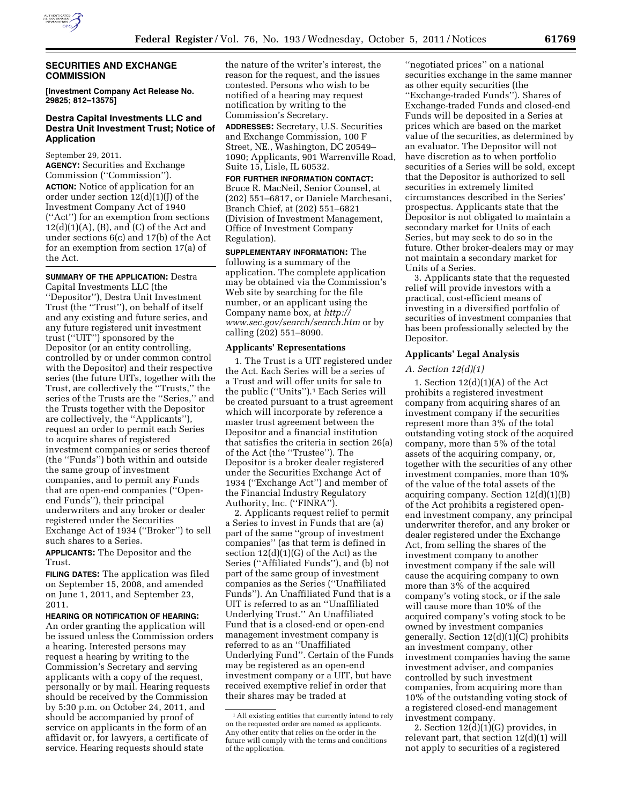

## **SECURITIES AND EXCHANGE COMMISSION**

**[Investment Company Act Release No. 29825; 812–13575]** 

# **Destra Capital Investments LLC and Destra Unit Investment Trust; Notice of Application**

September 29, 2011.

**AGENCY:** Securities and Exchange Commission (''Commission''). **ACTION:** Notice of application for an order under section  $12(d)(1)(J)$  of the Investment Company Act of 1940 (''Act'') for an exemption from sections  $12(d)(1)(A)$ , (B), and (C) of the Act and under sections 6(c) and 17(b) of the Act for an exemption from section 17(a) of the Act.

**SUMMARY OF THE APPLICATION:** Destra Capital Investments LLC (the ''Depositor''), Destra Unit Investment Trust (the ''Trust''), on behalf of itself and any existing and future series, and any future registered unit investment trust (''UIT'') sponsored by the Depositor (or an entity controlling, controlled by or under common control with the Depositor) and their respective series (the future UITs, together with the Trust, are collectively the ''Trusts,'' the series of the Trusts are the ''Series,'' and the Trusts together with the Depositor are collectively, the ''Applicants''), request an order to permit each Series to acquire shares of registered investment companies or series thereof (the ''Funds'') both within and outside the same group of investment companies, and to permit any Funds that are open-end companies (''Openend Funds''), their principal underwriters and any broker or dealer registered under the Securities Exchange Act of 1934 (''Broker'') to sell such shares to a Series.

**APPLICANTS:** The Depositor and the Trust.

**FILING DATES:** The application was filed on September 15, 2008, and amended on June 1, 2011, and September 23, 2011.

#### **HEARING OR NOTIFICATION OF HEARING:**

An order granting the application will be issued unless the Commission orders a hearing. Interested persons may request a hearing by writing to the Commission's Secretary and serving applicants with a copy of the request, personally or by mail. Hearing requests should be received by the Commission by 5:30 p.m. on October 24, 2011, and should be accompanied by proof of service on applicants in the form of an affidavit or, for lawyers, a certificate of service. Hearing requests should state

the nature of the writer's interest, the reason for the request, and the issues contested. Persons who wish to be notified of a hearing may request notification by writing to the Commission's Secretary.

**ADDRESSES:** Secretary, U.S. Securities and Exchange Commission, 100 F Street, NE., Washington, DC 20549– 1090; Applicants, 901 Warrenville Road, Suite 15, Lisle, IL 60532.

**FOR FURTHER INFORMATION CONTACT:**  Bruce R. MacNeil, Senior Counsel, at (202) 551–6817, or Daniele Marchesani, Branch Chief, at (202) 551–6821 (Division of Investment Management, Office of Investment Company Regulation).

**SUPPLEMENTARY INFORMATION:** The following is a summary of the application. The complete application may be obtained via the Commission's Web site by searching for the file number, or an applicant using the Company name box, at *[http://](http://www.sec.gov/search/search.htm) [www.sec.gov/search/search.htm](http://www.sec.gov/search/search.htm)* or by calling (202) 551–8090.

### **Applicants' Representations**

1. The Trust is a UIT registered under the Act. Each Series will be a series of a Trust and will offer units for sale to the public (''Units'').1 Each Series will be created pursuant to a trust agreement which will incorporate by reference a master trust agreement between the Depositor and a financial institution that satisfies the criteria in section 26(a) of the Act (the ''Trustee''). The Depositor is a broker dealer registered under the Securities Exchange Act of 1934 (''Exchange Act'') and member of the Financial Industry Regulatory Authority, Inc. (''FINRA'').

2. Applicants request relief to permit a Series to invest in Funds that are (a) part of the same ''group of investment companies'' (as that term is defined in section  $12(d)(1)(G)$  of the Act) as the Series (''Affiliated Funds''), and (b) not part of the same group of investment companies as the Series (''Unaffiliated Funds''). An Unaffiliated Fund that is a UIT is referred to as an ''Unaffiliated Underlying Trust.'' An Unaffiliated Fund that is a closed-end or open-end management investment company is referred to as an ''Unaffiliated Underlying Fund''. Certain of the Funds may be registered as an open-end investment company or a UIT, but have received exemptive relief in order that their shares may be traded at

''negotiated prices'' on a national securities exchange in the same manner as other equity securities (the ''Exchange-traded Funds''). Shares of Exchange-traded Funds and closed-end Funds will be deposited in a Series at prices which are based on the market value of the securities, as determined by an evaluator. The Depositor will not have discretion as to when portfolio securities of a Series will be sold, except that the Depositor is authorized to sell securities in extremely limited circumstances described in the Series' prospectus. Applicants state that the Depositor is not obligated to maintain a secondary market for Units of each Series, but may seek to do so in the future. Other broker-dealers may or may not maintain a secondary market for Units of a Series.

3. Applicants state that the requested relief will provide investors with a practical, cost-efficient means of investing in a diversified portfolio of securities of investment companies that has been professionally selected by the Depositor.

## **Applicants' Legal Analysis**

## *A. Section 12(d)(1)*

1. Section  $12(d)(1)(A)$  of the Act prohibits a registered investment company from acquiring shares of an investment company if the securities represent more than 3% of the total outstanding voting stock of the acquired company, more than 5% of the total assets of the acquiring company, or, together with the securities of any other investment companies, more than 10% of the value of the total assets of the acquiring company. Section 12(d)(1)(B) of the Act prohibits a registered openend investment company, any principal underwriter therefor, and any broker or dealer registered under the Exchange Act, from selling the shares of the investment company to another investment company if the sale will cause the acquiring company to own more than 3% of the acquired company's voting stock, or if the sale will cause more than 10% of the acquired company's voting stock to be owned by investment companies generally. Section 12(d)(1)(C) prohibits an investment company, other investment companies having the same investment adviser, and companies controlled by such investment companies, from acquiring more than 10% of the outstanding voting stock of a registered closed-end management investment company.

2. Section  $12(\tilde{d})(1)(G)$  provides, in relevant part, that section  $12(d)(1)$  will not apply to securities of a registered

<sup>&</sup>lt;sup>1</sup> All existing entities that currently intend to rely on the requested order are named as applicants. Any other entity that relies on the order in the future will comply with the terms and conditions of the application.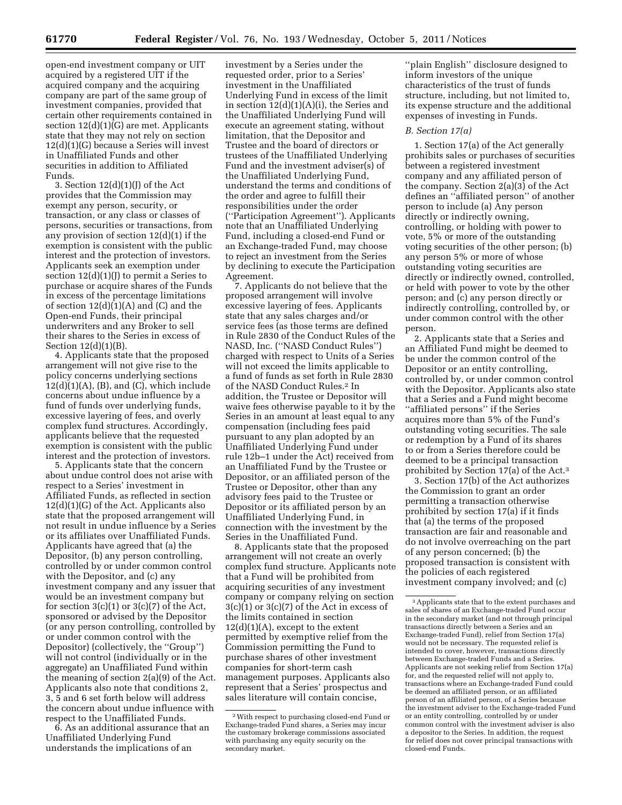open-end investment company or UIT acquired by a registered UIT if the acquired company and the acquiring company are part of the same group of investment companies, provided that certain other requirements contained in section 12(d)(1)(G) are met. Applicants state that they may not rely on section 12(d)(1)(G) because a Series will invest in Unaffiliated Funds and other securities in addition to Affiliated Funds.

3. Section  $12(d)(1)(1)$  of the Act provides that the Commission may exempt any person, security, or transaction, or any class or classes of persons, securities or transactions, from any provision of section 12(d)(1) if the exemption is consistent with the public interest and the protection of investors. Applicants seek an exemption under section  $12(d)(1)(J)$  to permit a Series to purchase or acquire shares of the Funds in excess of the percentage limitations of section  $12(d)(1)(A)$  and  $(C)$  and the Open-end Funds, their principal underwriters and any Broker to sell their shares to the Series in excess of Section 12(d)(1)(B).

4. Applicants state that the proposed arrangement will not give rise to the policy concerns underlying sections  $12(d)(1)(A)$ , (B), and (C), which include concerns about undue influence by a fund of funds over underlying funds, excessive layering of fees, and overly complex fund structures. Accordingly, applicants believe that the requested exemption is consistent with the public interest and the protection of investors.

5. Applicants state that the concern about undue control does not arise with respect to a Series' investment in Affiliated Funds, as reflected in section 12(d)(1)(G) of the Act. Applicants also state that the proposed arrangement will not result in undue influence by a Series or its affiliates over Unaffiliated Funds. Applicants have agreed that (a) the Depositor, (b) any person controlling, controlled by or under common control with the Depositor, and (c) any investment company and any issuer that would be an investment company but for section  $3(c)(1)$  or  $3(c)(7)$  of the Act, sponsored or advised by the Depositor (or any person controlling, controlled by or under common control with the Depositor) (collectively, the ''Group'') will not control (individually or in the aggregate) an Unaffiliated Fund within the meaning of section 2(a)(9) of the Act. Applicants also note that conditions 2, 3, 5 and 6 set forth below will address the concern about undue influence with respect to the Unaffiliated Funds.

6. As an additional assurance that an Unaffiliated Underlying Fund understands the implications of an

investment by a Series under the requested order, prior to a Series' investment in the Unaffiliated Underlying Fund in excess of the limit in section  $12(d)(1)(A)(i)$ , the Series and the Unaffiliated Underlying Fund will execute an agreement stating, without limitation, that the Depositor and Trustee and the board of directors or trustees of the Unaffiliated Underlying Fund and the investment adviser(s) of the Unaffiliated Underlying Fund, understand the terms and conditions of the order and agree to fulfill their responsibilities under the order (''Participation Agreement''). Applicants note that an Unaffiliated Underlying Fund, including a closed-end Fund or an Exchange-traded Fund, may choose to reject an investment from the Series by declining to execute the Participation Agreement.

7. Applicants do not believe that the proposed arrangement will involve excessive layering of fees. Applicants state that any sales charges and/or service fees (as those terms are defined in Rule 2830 of the Conduct Rules of the NASD, Inc. (''NASD Conduct Rules'') charged with respect to Units of a Series will not exceed the limits applicable to a fund of funds as set forth in Rule 2830 of the NASD Conduct Rules.2 In addition, the Trustee or Depositor will waive fees otherwise payable to it by the Series in an amount at least equal to any compensation (including fees paid pursuant to any plan adopted by an Unaffiliated Underlying Fund under rule 12b–1 under the Act) received from an Unaffiliated Fund by the Trustee or Depositor, or an affiliated person of the Trustee or Depositor, other than any advisory fees paid to the Trustee or Depositor or its affiliated person by an Unaffiliated Underlying Fund, in connection with the investment by the Series in the Unaffiliated Fund.

8. Applicants state that the proposed arrangement will not create an overly complex fund structure. Applicants note that a Fund will be prohibited from acquiring securities of any investment company or company relying on section  $3(c)(1)$  or  $3(c)(7)$  of the Act in excess of the limits contained in section  $12(d)(1)(A)$ , except to the extent permitted by exemptive relief from the Commission permitting the Fund to purchase shares of other investment companies for short-term cash management purposes. Applicants also represent that a Series' prospectus and sales literature will contain concise,

''plain English'' disclosure designed to inform investors of the unique characteristics of the trust of funds structure, including, but not limited to, its expense structure and the additional expenses of investing in Funds.

### *B. Section 17(a)*

1. Section 17(a) of the Act generally prohibits sales or purchases of securities between a registered investment company and any affiliated person of the company. Section 2(a)(3) of the Act defines an ''affiliated person'' of another person to include (a) Any person directly or indirectly owning, controlling, or holding with power to vote, 5% or more of the outstanding voting securities of the other person; (b) any person 5% or more of whose outstanding voting securities are directly or indirectly owned, controlled, or held with power to vote by the other person; and (c) any person directly or indirectly controlling, controlled by, or under common control with the other person.

2. Applicants state that a Series and an Affiliated Fund might be deemed to be under the common control of the Depositor or an entity controlling, controlled by, or under common control with the Depositor. Applicants also state that a Series and a Fund might become ''affiliated persons'' if the Series acquires more than 5% of the Fund's outstanding voting securities. The sale or redemption by a Fund of its shares to or from a Series therefore could be deemed to be a principal transaction prohibited by Section 17(a) of the Act.3

3. Section 17(b) of the Act authorizes the Commission to grant an order permitting a transaction otherwise prohibited by section 17(a) if it finds that (a) the terms of the proposed transaction are fair and reasonable and do not involve overreaching on the part of any person concerned; (b) the proposed transaction is consistent with the policies of each registered investment company involved; and (c)

<sup>2</sup>With respect to purchasing closed-end Fund or Exchange-traded Fund shares, a Series may incur the customary brokerage commissions associated with purchasing any equity security on the secondary market.

<sup>3</sup>Applicants state that to the extent purchases and sales of shares of an Exchange-traded Fund occur in the secondary market (and not through principal transactions directly between a Series and an Exchange-traded Fund), relief from Section 17(a) would not be necessary. The requested relief is intended to cover, however, transactions directly between Exchange-traded Funds and a Series. Applicants are not seeking relief from Section 17(a) for, and the requested relief will not apply to, transactions where an Exchange-traded Fund could be deemed an affiliated person, or an affiliated person of an affiliated person, of a Series because the investment adviser to the Exchange-traded Fund or an entity controlling, controlled by or under common control with the investment adviser is also a depositor to the Series. In addition, the request for relief does not cover principal transactions with closed-end Funds.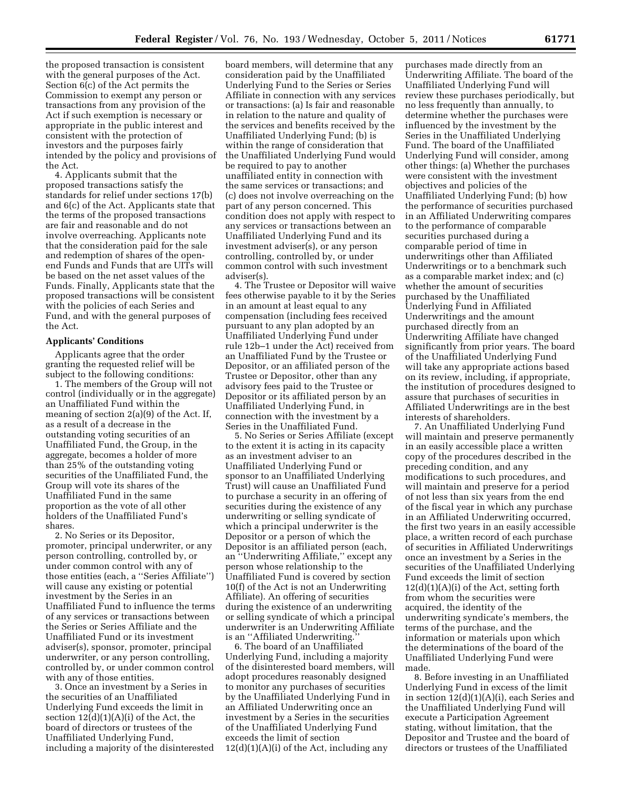the proposed transaction is consistent with the general purposes of the Act. Section 6(c) of the Act permits the Commission to exempt any person or transactions from any provision of the Act if such exemption is necessary or appropriate in the public interest and consistent with the protection of investors and the purposes fairly intended by the policy and provisions of the Act.

4. Applicants submit that the proposed transactions satisfy the standards for relief under sections 17(b) and 6(c) of the Act. Applicants state that the terms of the proposed transactions are fair and reasonable and do not involve overreaching. Applicants note that the consideration paid for the sale and redemption of shares of the openend Funds and Funds that are UITs will be based on the net asset values of the Funds. Finally, Applicants state that the proposed transactions will be consistent with the policies of each Series and Fund, and with the general purposes of the Act.

### **Applicants' Conditions**

Applicants agree that the order granting the requested relief will be subject to the following conditions:

1. The members of the Group will not control (individually or in the aggregate) an Unaffiliated Fund within the meaning of section 2(a)(9) of the Act. If, as a result of a decrease in the outstanding voting securities of an Unaffiliated Fund, the Group, in the aggregate, becomes a holder of more than 25% of the outstanding voting securities of the Unaffiliated Fund, the Group will vote its shares of the Unaffiliated Fund in the same proportion as the vote of all other holders of the Unaffiliated Fund's shares.

2. No Series or its Depositor, promoter, principal underwriter, or any person controlling, controlled by, or under common control with any of those entities (each, a ''Series Affiliate'') will cause any existing or potential investment by the Series in an Unaffiliated Fund to influence the terms of any services or transactions between the Series or Series Affiliate and the Unaffiliated Fund or its investment adviser(s), sponsor, promoter, principal underwriter, or any person controlling, controlled by, or under common control with any of those entities.

3. Once an investment by a Series in the securities of an Unaffiliated Underlying Fund exceeds the limit in section  $12(d)(1)(A)(i)$  of the Act, the board of directors or trustees of the Unaffiliated Underlying Fund, including a majority of the disinterested

board members, will determine that any consideration paid by the Unaffiliated Underlying Fund to the Series or Series Affiliate in connection with any services or transactions: (a) Is fair and reasonable in relation to the nature and quality of the services and benefits received by the Unaffiliated Underlying Fund; (b) is within the range of consideration that the Unaffiliated Underlying Fund would be required to pay to another unaffiliated entity in connection with the same services or transactions; and (c) does not involve overreaching on the part of any person concerned. This condition does not apply with respect to any services or transactions between an Unaffiliated Underlying Fund and its investment adviser(s), or any person controlling, controlled by, or under common control with such investment adviser(s).

4. The Trustee or Depositor will waive fees otherwise payable to it by the Series in an amount at least equal to any compensation (including fees received pursuant to any plan adopted by an Unaffiliated Underlying Fund under rule 12b–1 under the Act) received from an Unaffiliated Fund by the Trustee or Depositor, or an affiliated person of the Trustee or Depositor, other than any advisory fees paid to the Trustee or Depositor or its affiliated person by an Unaffiliated Underlying Fund, in connection with the investment by a Series in the Unaffiliated Fund.

5. No Series or Series Affiliate (except to the extent it is acting in its capacity as an investment adviser to an Unaffiliated Underlying Fund or sponsor to an Unaffiliated Underlying Trust) will cause an Unaffiliated Fund to purchase a security in an offering of securities during the existence of any underwriting or selling syndicate of which a principal underwriter is the Depositor or a person of which the Depositor is an affiliated person (each, an ''Underwriting Affiliate,'' except any person whose relationship to the Unaffiliated Fund is covered by section 10(f) of the Act is not an Underwriting Affiliate). An offering of securities during the existence of an underwriting or selling syndicate of which a principal underwriter is an Underwriting Affiliate is an "Affiliated Underwriting.

6. The board of an Unaffiliated Underlying Fund, including a majority of the disinterested board members, will adopt procedures reasonably designed to monitor any purchases of securities by the Unaffiliated Underlying Fund in an Affiliated Underwriting once an investment by a Series in the securities of the Unaffiliated Underlying Fund exceeds the limit of section  $12(d)(1)(A)(i)$  of the Act, including any

purchases made directly from an Underwriting Affiliate. The board of the Unaffiliated Underlying Fund will review these purchases periodically, but no less frequently than annually, to determine whether the purchases were influenced by the investment by the Series in the Unaffiliated Underlying Fund. The board of the Unaffiliated Underlying Fund will consider, among other things: (a) Whether the purchases were consistent with the investment objectives and policies of the Unaffiliated Underlying Fund; (b) how the performance of securities purchased in an Affiliated Underwriting compares to the performance of comparable securities purchased during a comparable period of time in underwritings other than Affiliated Underwritings or to a benchmark such as a comparable market index; and (c) whether the amount of securities purchased by the Unaffiliated Underlying Fund in Affiliated Underwritings and the amount purchased directly from an Underwriting Affiliate have changed significantly from prior years. The board of the Unaffiliated Underlying Fund will take any appropriate actions based on its review, including, if appropriate, the institution of procedures designed to assure that purchases of securities in Affiliated Underwritings are in the best interests of shareholders.

7. An Unaffiliated Underlying Fund will maintain and preserve permanently in an easily accessible place a written copy of the procedures described in the preceding condition, and any modifications to such procedures, and will maintain and preserve for a period of not less than six years from the end of the fiscal year in which any purchase in an Affiliated Underwriting occurred, the first two years in an easily accessible place, a written record of each purchase of securities in Affiliated Underwritings once an investment by a Series in the securities of the Unaffiliated Underlying Fund exceeds the limit of section  $12(d)(1)(A)(i)$  of the Act, setting forth from whom the securities were acquired, the identity of the underwriting syndicate's members, the terms of the purchase, and the information or materials upon which the determinations of the board of the Unaffiliated Underlying Fund were made.

8. Before investing in an Unaffiliated Underlying Fund in excess of the limit in section 12(d)(1)(A)(i), each Series and the Unaffiliated Underlying Fund will execute a Participation Agreement stating, without limitation, that the Depositor and Trustee and the board of directors or trustees of the Unaffiliated